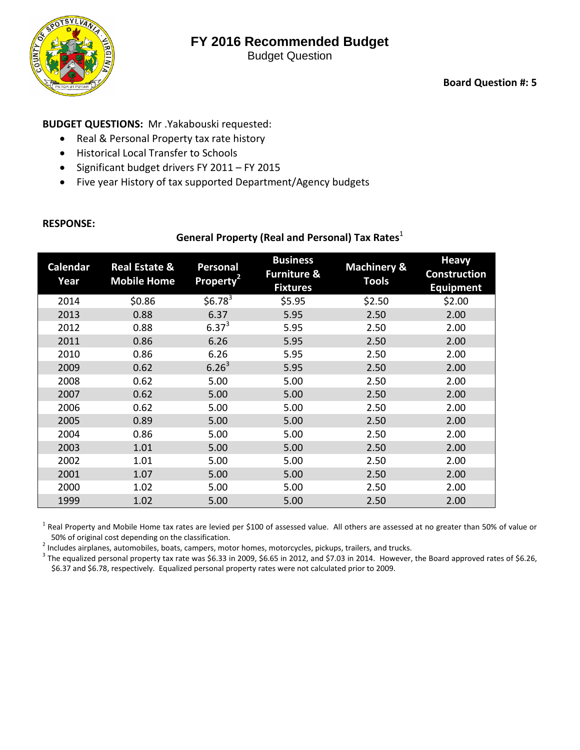# **FY 2016 Recommended Budget**



Budget Question

#### **BUDGET QUESTIONS:** Mr .Yakabouski requested:

- Real & Personal Property tax rate history
- Historical Local Transfer to Schools
- Significant budget drivers FY 2011 FY 2015
- Five year History of tax supported Department/Agency budgets

#### **RESPONSE:**

**General Property (Real and Personal) Tax Rates**<sup>1</sup>

| Calendar<br>Year | <b>Real Estate &amp;</b><br><b>Mobile Home</b> | Personal<br>Property <sup>2</sup> | <b>Business</b><br><b>Furniture &amp;</b><br><b>Fixtures</b> | <b>Machinery &amp;</b><br><b>Tools</b> | <b>Heavy</b><br><b>Construction</b><br><b>Equipment</b> |
|------------------|------------------------------------------------|-----------------------------------|--------------------------------------------------------------|----------------------------------------|---------------------------------------------------------|
| 2014             | \$0.86                                         | \$6.78 <sup>3</sup>               | \$5.95                                                       | \$2.50                                 | \$2.00                                                  |
| 2013             | 0.88                                           | 6.37                              | 5.95                                                         | 2.50                                   | 2.00                                                    |
| 2012             | 0.88                                           | $6.37^{3}$                        | 5.95                                                         | 2.50                                   | 2.00                                                    |
| 2011             | 0.86                                           | 6.26                              | 5.95                                                         | 2.50                                   | 2.00                                                    |
| 2010             | 0.86                                           | 6.26                              | 5.95                                                         | 2.50                                   | 2.00                                                    |
| 2009             | 0.62                                           | $6.26^{3}$                        | 5.95                                                         | 2.50                                   | 2.00                                                    |
| 2008             | 0.62                                           | 5.00                              | 5.00                                                         | 2.50                                   | 2.00                                                    |
| 2007             | 0.62                                           | 5.00                              | 5.00                                                         | 2.50                                   | 2.00                                                    |
| 2006             | 0.62                                           | 5.00                              | 5.00                                                         | 2.50                                   | 2.00                                                    |
| 2005             | 0.89                                           | 5.00                              | 5.00                                                         | 2.50                                   | 2.00                                                    |
| 2004             | 0.86                                           | 5.00                              | 5.00                                                         | 2.50                                   | 2.00                                                    |
| 2003             | 1.01                                           | 5.00                              | 5.00                                                         | 2.50                                   | 2.00                                                    |
| 2002             | 1.01                                           | 5.00                              | 5.00                                                         | 2.50                                   | 2.00                                                    |
| 2001             | 1.07                                           | 5.00                              | 5.00                                                         | 2.50                                   | 2.00                                                    |
| 2000             | 1.02                                           | 5.00                              | 5.00                                                         | 2.50                                   | 2.00                                                    |
| 1999             | 1.02                                           | 5.00                              | 5.00                                                         | 2.50                                   | 2.00                                                    |

 $^1$  Real Property and Mobile Home tax rates are levied per \$100 of assessed value. All others are assessed at no greater than 50% of value or 50% of original cost depending on the classification.<br>
<sup>2</sup> Includes airplanes, automobiles, boats, campers, motor homes, motorcycles, pickups, trailers, and trucks.<br>
<sup>3</sup> The equalized personal property tax rate was \$6.33

\$6.37 and \$6.78, respectively. Equalized personal property rates were not calculated prior to 2009.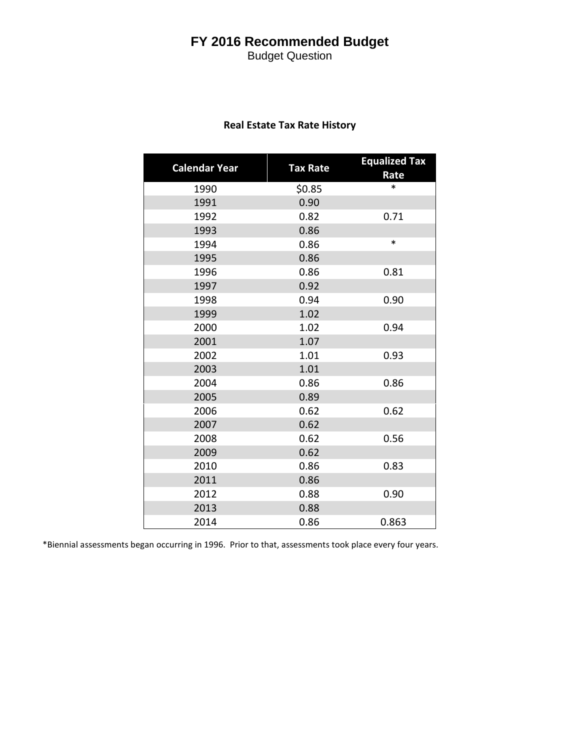## **FY 2016 Recommended Budget**

Budget Question

| <b>Calendar Year</b> | <b>Tax Rate</b> | <b>Equalized Tax</b><br>Rate |
|----------------------|-----------------|------------------------------|
| 1990                 | \$0.85          | $\ast$                       |
| 1991                 | 0.90            |                              |
| 1992                 | 0.82            | 0.71                         |
| 1993                 | 0.86            |                              |
| 1994                 | 0.86            | *                            |
| 1995                 | 0.86            |                              |
| 1996                 | 0.86            | 0.81                         |
| 1997                 | 0.92            |                              |
| 1998                 | 0.94            | 0.90                         |
| 1999                 | 1.02            |                              |
| 2000                 | 1.02            | 0.94                         |
| 2001                 | 1.07            |                              |
| 2002                 | 1.01            | 0.93                         |
| 2003                 | 1.01            |                              |
| 2004                 | 0.86            | 0.86                         |
| 2005                 | 0.89            |                              |
| 2006                 | 0.62            | 0.62                         |
| 2007                 | 0.62            |                              |
| 2008                 | 0.62            | 0.56                         |
| 2009                 | 0.62            |                              |
| 2010                 | 0.86            | 0.83                         |
| 2011                 | 0.86            |                              |
| 2012                 | 0.88            | 0.90                         |
| 2013                 | 0.88            |                              |
| 2014                 | 0.86            | 0.863                        |

#### **Real Estate Tax Rate History**

\*Biennial assessments began occurring in 1996. Prior to that, assessments took place every four years.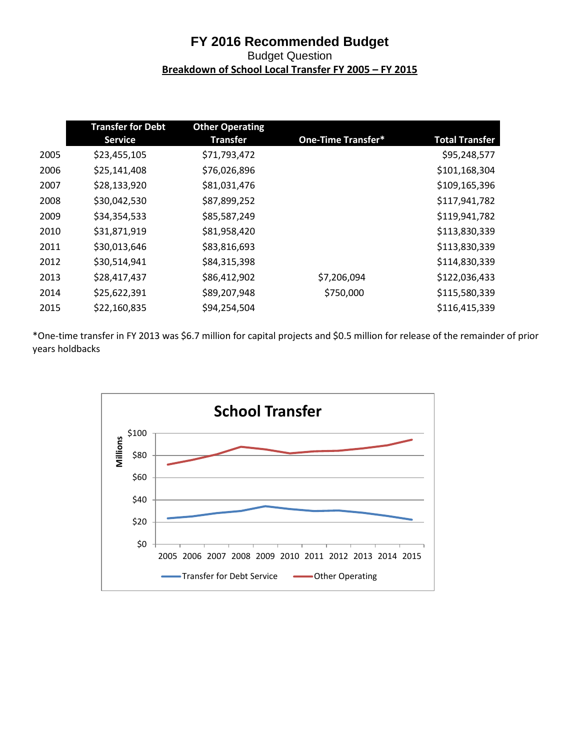### **FY 2016 Recommended Budget** Budget Question **Breakdown of School Local Transfer FY 2005 – FY 2015**

|      | <b>Transfer for Debt</b> | <b>Other Operating</b> |                           |                       |
|------|--------------------------|------------------------|---------------------------|-----------------------|
|      | <b>Service</b>           | <b>Transfer</b>        | <b>One-Time Transfer*</b> | <b>Total Transfer</b> |
| 2005 | \$23,455,105             | \$71,793,472           |                           | \$95,248,577          |
| 2006 | \$25,141,408             | \$76,026,896           |                           | \$101,168,304         |
| 2007 | \$28,133,920             | \$81,031,476           |                           | \$109,165,396         |
| 2008 | \$30,042,530             | \$87,899,252           |                           | \$117,941,782         |
| 2009 | \$34,354,533             | \$85,587,249           |                           | \$119,941,782         |
| 2010 | \$31,871,919             | \$81,958,420           |                           | \$113,830,339         |
| 2011 | \$30,013,646             | \$83,816,693           |                           | \$113,830,339         |
| 2012 | \$30,514,941             | \$84,315,398           |                           | \$114,830,339         |
| 2013 | \$28,417,437             | \$86,412,902           | \$7,206,094               | \$122,036,433         |
| 2014 | \$25,622,391             | \$89,207,948           | \$750,000                 | \$115,580,339         |
| 2015 | \$22,160,835             | \$94,254,504           |                           | \$116,415,339         |

\*One-time transfer in FY 2013 was \$6.7 million for capital projects and \$0.5 million for release of the remainder of prior years holdbacks

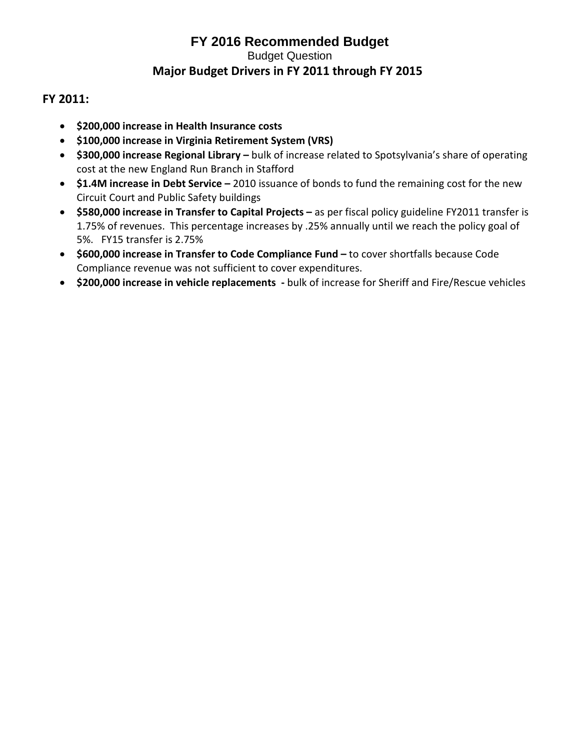### **FY 2011:**

- **\$200,000 increase in Health Insurance costs**
- **\$100,000 increase in Virginia Retirement System (VRS)**
- **\$300,000 increase Regional Library –** bulk of increase related to Spotsylvania's share of operating cost at the new England Run Branch in Stafford
- **\$1.4M increase in Debt Service –** 2010 issuance of bonds to fund the remaining cost for the new Circuit Court and Public Safety buildings
- **\$580,000 increase in Transfer to Capital Projects –** as per fiscal policy guideline FY2011 transfer is 1.75% of revenues. This percentage increases by .25% annually until we reach the policy goal of 5%. FY15 transfer is 2.75%
- **\$600,000 increase in Transfer to Code Compliance Fund –** to cover shortfalls because Code Compliance revenue was not sufficient to cover expenditures.
- **\$200,000 increase in vehicle replacements -** bulk of increase for Sheriff and Fire/Rescue vehicles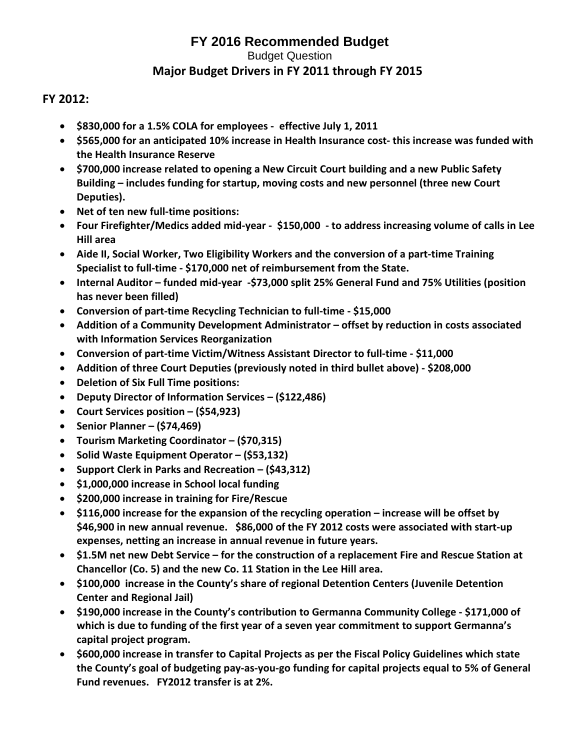#### **FY 2012:**

- **\$830,000 for a 1.5% COLA for employees effective July 1, 2011**
- **\$565,000 for an anticipated 10% increase in Health Insurance cost- this increase was funded with the Health Insurance Reserve**
- **\$700,000 increase related to opening a New Circuit Court building and a new Public Safety Building – includes funding for startup, moving costs and new personnel (three new Court Deputies).**
- **Net of ten new full-time positions:**
- **Four Firefighter/Medics added mid-year \$150,000 - to address increasing volume of calls in Lee Hill area**
- **Aide II, Social Worker, Two Eligibility Workers and the conversion of a part-time Training Specialist to full-time - \$170,000 net of reimbursement from the State.**
- **Internal Auditor – funded mid-year -\$73,000 split 25% General Fund and 75% Utilities (position has never been filled)**
- **Conversion of part-time Recycling Technician to full-time - \$15,000**
- **Addition of a Community Development Administrator – offset by reduction in costs associated with Information Services Reorganization**
- **Conversion of part-time Victim/Witness Assistant Director to full-time - \$11,000**
- **Addition of three Court Deputies (previously noted in third bullet above) - \$208,000**
- **Deletion of Six Full Time positions:**
- **Deputy Director of Information Services – (\$122,486)**
- **Court Services position – (\$54,923)**
- **Senior Planner – (\$74,469)**
- **Tourism Marketing Coordinator – (\$70,315)**
- **Solid Waste Equipment Operator – (\$53,132)**
- **Support Clerk in Parks and Recreation – (\$43,312)**
- **\$1,000,000 increase in School local funding**
- **\$200,000 increase in training for Fire/Rescue**
- **\$116,000 increase for the expansion of the recycling operation – increase will be offset by \$46,900 in new annual revenue. \$86,000 of the FY 2012 costs were associated with start-up expenses, netting an increase in annual revenue in future years.**
- **\$1.5M net new Debt Service – for the construction of a replacement Fire and Rescue Station at Chancellor (Co. 5) and the new Co. 11 Station in the Lee Hill area.**
- **\$100,000 increase in the County's share of regional Detention Centers (Juvenile Detention Center and Regional Jail)**
- **\$190,000 increase in the County's contribution to Germanna Community College - \$171,000 of which is due to funding of the first year of a seven year commitment to support Germanna's capital project program.**
- **\$600,000 increase in transfer to Capital Projects as per the Fiscal Policy Guidelines which state the County's goal of budgeting pay-as-you-go funding for capital projects equal to 5% of General Fund revenues. FY2012 transfer is at 2%.**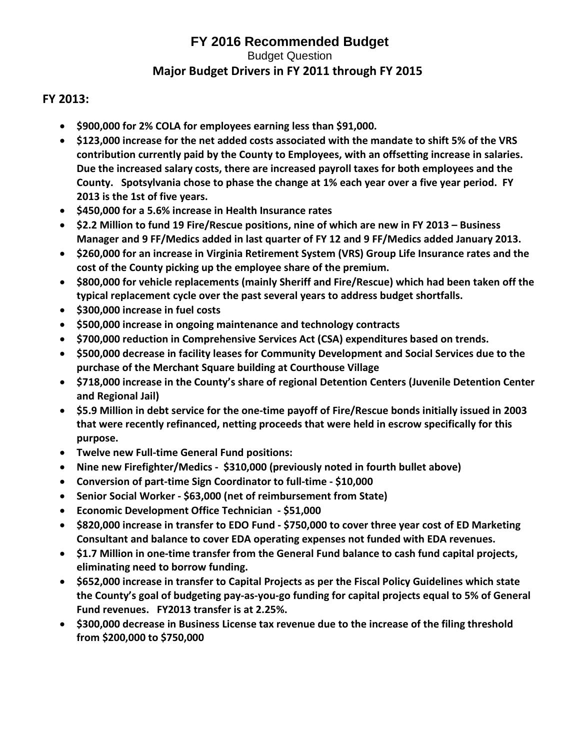### **FY 2013:**

- **\$900,000 for 2% COLA for employees earning less than \$91,000.**
- **\$123,000 increase for the net added costs associated with the mandate to shift 5% of the VRS contribution currently paid by the County to Employees, with an offsetting increase in salaries. Due the increased salary costs, there are increased payroll taxes for both employees and the County. Spotsylvania chose to phase the change at 1% each year over a five year period. FY 2013 is the 1st of five years.**
- **\$450,000 for a 5.6% increase in Health Insurance rates**
- **\$2.2 Million to fund 19 Fire/Rescue positions, nine of which are new in FY 2013 – Business Manager and 9 FF/Medics added in last quarter of FY 12 and 9 FF/Medics added January 2013.**
- **\$260,000 for an increase in Virginia Retirement System (VRS) Group Life Insurance rates and the cost of the County picking up the employee share of the premium.**
- **\$800,000 for vehicle replacements (mainly Sheriff and Fire/Rescue) which had been taken off the typical replacement cycle over the past several years to address budget shortfalls.**
- **\$300,000 increase in fuel costs**
- **\$500,000 increase in ongoing maintenance and technology contracts**
- **\$700,000 reduction in Comprehensive Services Act (CSA) expenditures based on trends.**
- **\$500,000 decrease in facility leases for Community Development and Social Services due to the purchase of the Merchant Square building at Courthouse Village**
- **\$718,000 increase in the County's share of regional Detention Centers (Juvenile Detention Center and Regional Jail)**
- **\$5.9 Million in debt service for the one-time payoff of Fire/Rescue bonds initially issued in 2003 that were recently refinanced, netting proceeds that were held in escrow specifically for this purpose.**
- **Twelve new Full-time General Fund positions:**
- **Nine new Firefighter/Medics \$310,000 (previously noted in fourth bullet above)**
- **Conversion of part-time Sign Coordinator to full-time - \$10,000**
- **Senior Social Worker - \$63,000 (net of reimbursement from State)**
- **Economic Development Office Technician - \$51,000**
- **\$820,000 increase in transfer to EDO Fund - \$750,000 to cover three year cost of ED Marketing Consultant and balance to cover EDA operating expenses not funded with EDA revenues.**
- **\$1.7 Million in one-time transfer from the General Fund balance to cash fund capital projects, eliminating need to borrow funding.**
- **\$652,000 increase in transfer to Capital Projects as per the Fiscal Policy Guidelines which state the County's goal of budgeting pay-as-you-go funding for capital projects equal to 5% of General Fund revenues. FY2013 transfer is at 2.25%.**
- **\$300,000 decrease in Business License tax revenue due to the increase of the filing threshold from \$200,000 to \$750,000**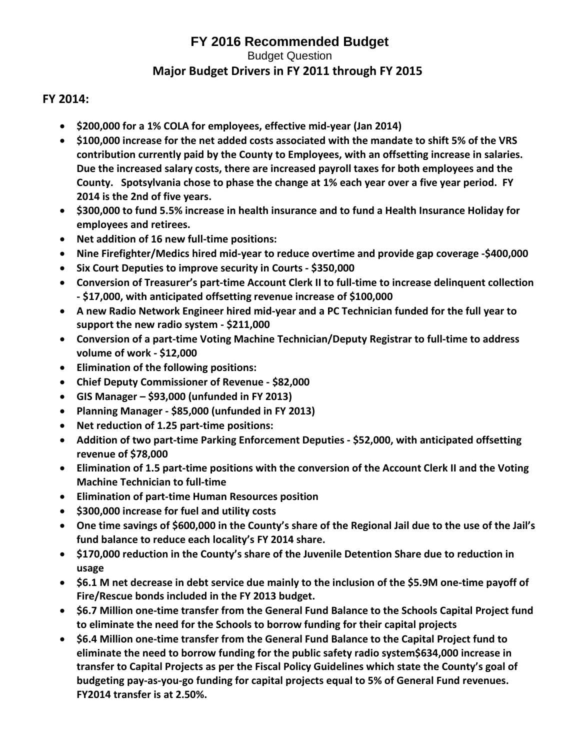#### **FY 2014:**

- **\$200,000 for a 1% COLA for employees, effective mid-year (Jan 2014)**
- **\$100,000 increase for the net added costs associated with the mandate to shift 5% of the VRS contribution currently paid by the County to Employees, with an offsetting increase in salaries. Due the increased salary costs, there are increased payroll taxes for both employees and the County. Spotsylvania chose to phase the change at 1% each year over a five year period. FY 2014 is the 2nd of five years.**
- **\$300,000 to fund 5.5% increase in health insurance and to fund a Health Insurance Holiday for employees and retirees.**
- **Net addition of 16 new full-time positions:**
- **Nine Firefighter/Medics hired mid-year to reduce overtime and provide gap coverage -\$400,000**
- **Six Court Deputies to improve security in Courts - \$350,000**
- **Conversion of Treasurer's part-time Account Clerk II to full-time to increase delinquent collection - \$17,000, with anticipated offsetting revenue increase of \$100,000**
- **A new Radio Network Engineer hired mid-year and a PC Technician funded for the full year to support the new radio system - \$211,000**
- **Conversion of a part-time Voting Machine Technician/Deputy Registrar to full-time to address volume of work - \$12,000**
- **Elimination of the following positions:**
- **Chief Deputy Commissioner of Revenue - \$82,000**
- **GIS Manager – \$93,000 (unfunded in FY 2013)**
- **Planning Manager - \$85,000 (unfunded in FY 2013)**
- **Net reduction of 1.25 part-time positions:**
- **Addition of two part-time Parking Enforcement Deputies - \$52,000, with anticipated offsetting revenue of \$78,000**
- **Elimination of 1.5 part-time positions with the conversion of the Account Clerk II and the Voting Machine Technician to full-time**
- **Elimination of part-time Human Resources position**
- **\$300,000 increase for fuel and utility costs**
- **One time savings of \$600,000 in the County's share of the Regional Jail due to the use of the Jail's fund balance to reduce each locality's FY 2014 share.**
- **\$170,000 reduction in the County's share of the Juvenile Detention Share due to reduction in usage**
- **\$6.1 M net decrease in debt service due mainly to the inclusion of the \$5.9M one-time payoff of Fire/Rescue bonds included in the FY 2013 budget.**
- **\$6.7 Million one-time transfer from the General Fund Balance to the Schools Capital Project fund to eliminate the need for the Schools to borrow funding for their capital projects**
- **\$6.4 Million one-time transfer from the General Fund Balance to the Capital Project fund to eliminate the need to borrow funding for the public safety radio system\$634,000 increase in transfer to Capital Projects as per the Fiscal Policy Guidelines which state the County's goal of budgeting pay-as-you-go funding for capital projects equal to 5% of General Fund revenues. FY2014 transfer is at 2.50%.**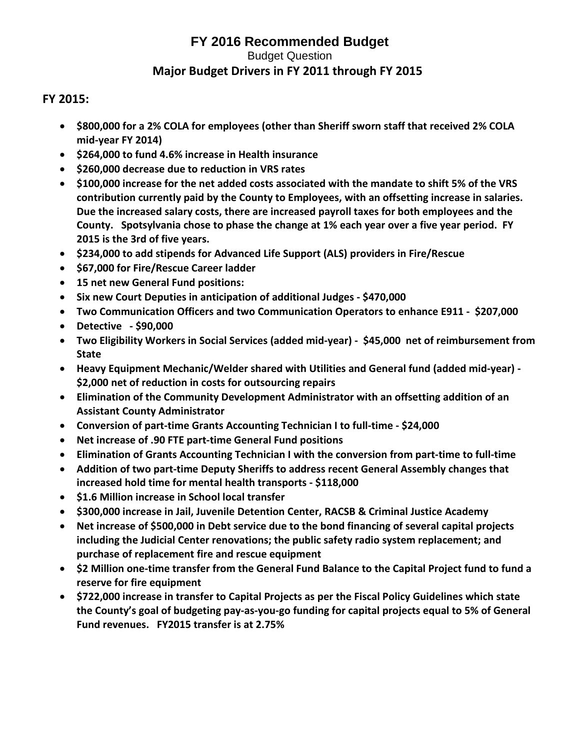#### **FY 2015:**

- **\$800,000 for a 2% COLA for employees (other than Sheriff sworn staff that received 2% COLA mid-year FY 2014)**
- **\$264,000 to fund 4.6% increase in Health insurance**
- **\$260,000 decrease due to reduction in VRS rates**
- **\$100,000 increase for the net added costs associated with the mandate to shift 5% of the VRS contribution currently paid by the County to Employees, with an offsetting increase in salaries. Due the increased salary costs, there are increased payroll taxes for both employees and the County. Spotsylvania chose to phase the change at 1% each year over a five year period. FY 2015 is the 3rd of five years.**
- **\$234,000 to add stipends for Advanced Life Support (ALS) providers in Fire/Rescue**
- **\$67,000 for Fire/Rescue Career ladder**
- **15 net new General Fund positions:**
- **Six new Court Deputies in anticipation of additional Judges - \$470,000**
- **Two Communication Officers and two Communication Operators to enhance E911 \$207,000**
- **Detective - \$90,000**
- **Two Eligibility Workers in Social Services (added mid-year) \$45,000 net of reimbursement from State**
- **Heavy Equipment Mechanic/Welder shared with Utilities and General fund (added mid-year) - \$2,000 net of reduction in costs for outsourcing repairs**
- **Elimination of the Community Development Administrator with an offsetting addition of an Assistant County Administrator**
- **Conversion of part-time Grants Accounting Technician I to full-time - \$24,000**
- **Net increase of .90 FTE part-time General Fund positions**
- **Elimination of Grants Accounting Technician I with the conversion from part-time to full-time**
- **Addition of two part-time Deputy Sheriffs to address recent General Assembly changes that increased hold time for mental health transports - \$118,000**
- **\$1.6 Million increase in School local transfer**
- **\$300,000 increase in Jail, Juvenile Detention Center, RACSB & Criminal Justice Academy**
- **Net increase of \$500,000 in Debt service due to the bond financing of several capital projects including the Judicial Center renovations; the public safety radio system replacement; and purchase of replacement fire and rescue equipment**
- **\$2 Million one-time transfer from the General Fund Balance to the Capital Project fund to fund a reserve for fire equipment**
- **\$722,000 increase in transfer to Capital Projects as per the Fiscal Policy Guidelines which state the County's goal of budgeting pay-as-you-go funding for capital projects equal to 5% of General Fund revenues. FY2015 transfer is at 2.75%**